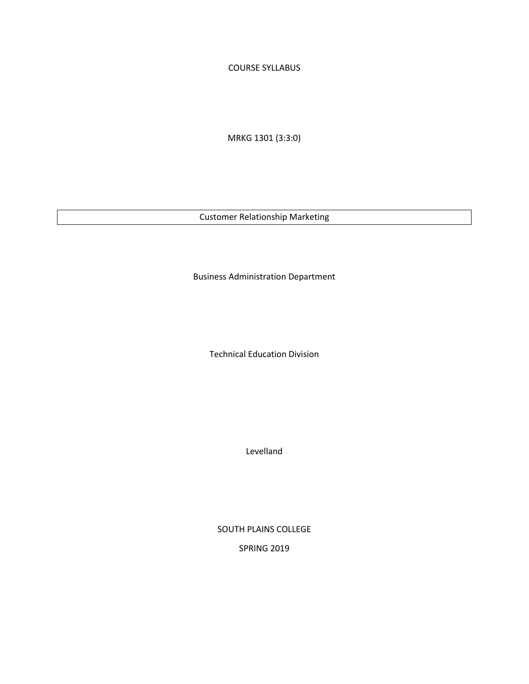COURSE SYLLABUS

MRKG 1301 (3:3:0)

Customer Relationship Marketing

Business Administration Department

Technical Education Division

Levelland

SOUTH PLAINS COLLEGE SPRING 2019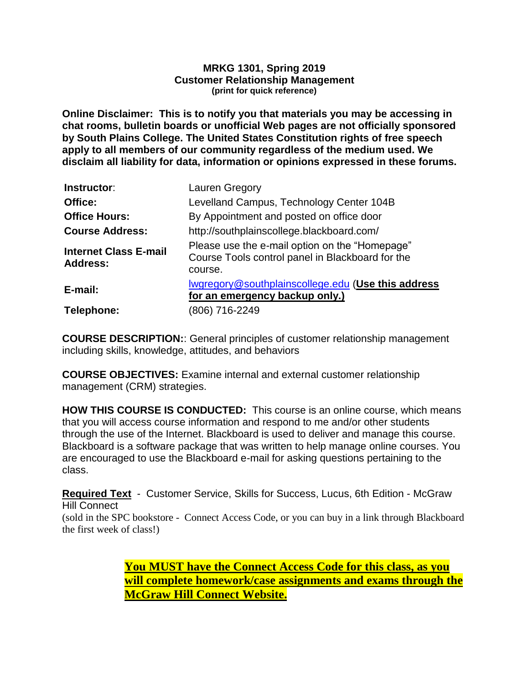#### **MRKG 1301, Spring 2019 Customer Relationship Management (print for quick reference)**

**Online Disclaimer: This is to notify you that materials you may be accessing in chat rooms, bulletin boards or unofficial Web pages are not officially sponsored by South Plains College. The United States Constitution rights of free speech apply to all members of our community regardless of the medium used. We disclaim all liability for data, information or opinions expressed in these forums.**

| Instructor:                              | Lauren Gregory                                                                                                |
|------------------------------------------|---------------------------------------------------------------------------------------------------------------|
| Office:                                  | Levelland Campus, Technology Center 104B                                                                      |
| <b>Office Hours:</b>                     | By Appointment and posted on office door                                                                      |
| <b>Course Address:</b>                   | http://southplainscollege.blackboard.com/                                                                     |
| <b>Internet Class E-mail</b><br>Address: | Please use the e-mail option on the "Homepage"<br>Course Tools control panel in Blackboard for the<br>course. |
| E-mail:                                  | Iwgregory@southplainscollege.edu (Use this address<br>for an emergency backup only.)                          |
| Telephone:                               | (806) 716-2249                                                                                                |

**COURSE DESCRIPTION:**: General principles of customer relationship management including skills, knowledge, attitudes, and behaviors

**COURSE OBJECTIVES:** Examine internal and external customer relationship management (CRM) strategies.

**HOW THIS COURSE IS CONDUCTED:** This course is an online course, which means that you will access course information and respond to me and/or other students through the use of the Internet. Blackboard is used to deliver and manage this course. Blackboard is a software package that was written to help manage online courses. You are encouraged to use the Blackboard e-mail for asking questions pertaining to the class.

**Required Text** -Customer Service, Skills for Success, Lucus, 6th Edition - McGraw Hill Connect

(sold in the SPC bookstore - Connect Access Code, or you can buy in a link through Blackboard the first week of class!)

> **You MUST have the Connect Access Code for this class, as you will complete homework/case assignments and exams through the McGraw Hill Connect Website.**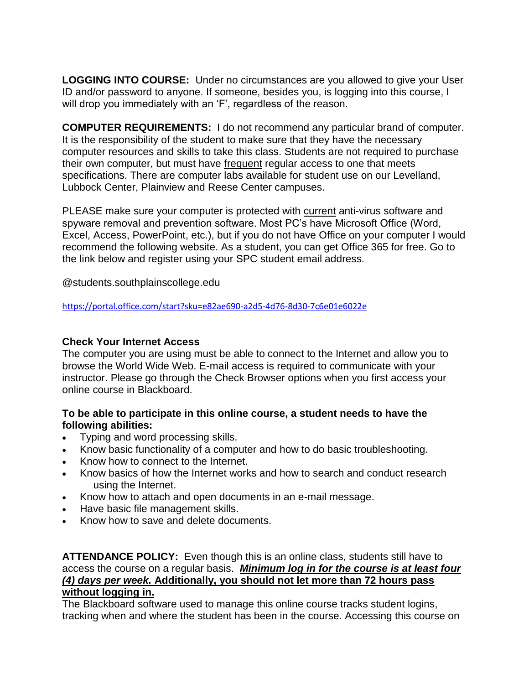**LOGGING INTO COURSE:** Under no circumstances are you allowed to give your User ID and/or password to anyone. If someone, besides you, is logging into this course, I will drop you immediately with an 'F', regardless of the reason.

**COMPUTER REQUIREMENTS:** I do not recommend any particular brand of computer. It is the responsibility of the student to make sure that they have the necessary computer resources and skills to take this class. Students are not required to purchase their own computer, but must have frequent regular access to one that meets specifications. There are computer labs available for student use on our Levelland, Lubbock Center, Plainview and Reese Center campuses.

PLEASE make sure your computer is protected with current anti-virus software and spyware removal and prevention software. Most PC's have Microsoft Office (Word, Excel, Access, PowerPoint, etc.), but if you do not have Office on your computer I would recommend the following website. As a student, you can get Office 365 for free. Go to the link below and register using your SPC student email address.

@students.southplainscollege.edu

<https://portal.office.com/start?sku=e82ae690-a2d5-4d76-8d30-7c6e01e6022e>

### **Check Your Internet Access**

The computer you are using must be able to connect to the Internet and allow you to browse the World Wide Web. E-mail access is required to communicate with your instructor. Please go through the Check Browser options when you first access your online course in Blackboard.

### **To be able to participate in this online course, a student needs to have the following abilities:**

- Typing and word processing skills.
- Know basic functionality of a computer and how to do basic troubleshooting.
- Know how to connect to the Internet.
- Know basics of how the Internet works and how to search and conduct research using the Internet.
- Know how to attach and open documents in an e-mail message.
- Have basic file management skills.
- Know how to save and delete documents.

**ATTENDANCE POLICY:** Even though this is an online class, students still have to access the course on a regular basis. *Minimum log in for the course is at least four (4) days per week.* **Additionally, you should not let more than 72 hours pass without logging in.**

The Blackboard software used to manage this online course tracks student logins, tracking when and where the student has been in the course. Accessing this course on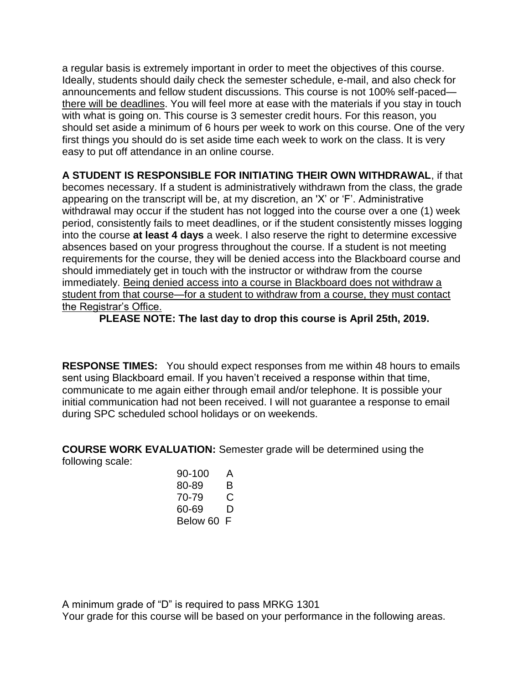a regular basis is extremely important in order to meet the objectives of this course. Ideally, students should daily check the semester schedule, e-mail, and also check for announcements and fellow student discussions. This course is not 100% self-paced there will be deadlines. You will feel more at ease with the materials if you stay in touch with what is going on. This course is 3 semester credit hours. For this reason, you should set aside a minimum of 6 hours per week to work on this course. One of the very first things you should do is set aside time each week to work on the class. It is very easy to put off attendance in an online course.

**A STUDENT IS RESPONSIBLE FOR INITIATING THEIR OWN WITHDRAWAL**, if that becomes necessary. If a student is administratively withdrawn from the class, the grade appearing on the transcript will be, at my discretion, an 'X' or 'F'. Administrative withdrawal may occur if the student has not logged into the course over a one (1) week period, consistently fails to meet deadlines, or if the student consistently misses logging into the course **at least 4 days** a week. I also reserve the right to determine excessive absences based on your progress throughout the course. If a student is not meeting requirements for the course, they will be denied access into the Blackboard course and should immediately get in touch with the instructor or withdraw from the course immediately. Being denied access into a course in Blackboard does not withdraw a student from that course—for a student to withdraw from a course, they must contact the Registrar's Office.

**PLEASE NOTE: The last day to drop this course is April 25th, 2019.** 

**RESPONSE TIMES:** You should expect responses from me within 48 hours to emails sent using Blackboard email. If you haven't received a response within that time, communicate to me again either through email and/or telephone. It is possible your initial communication had not been received. I will not guarantee a response to email during SPC scheduled school holidays or on weekends.

**COURSE WORK EVALUATION:** Semester grade will be determined using the following scale:

| 90-100   | A |
|----------|---|
| 80-89    | R |
| 70-79    | C |
| 60-69    | D |
| Below 60 | F |

A minimum grade of "D" is required to pass MRKG 1301 Your grade for this course will be based on your performance in the following areas.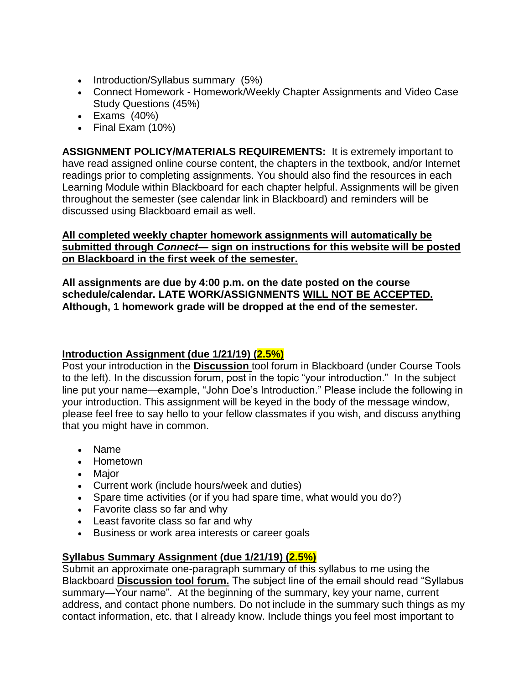- Introduction/Syllabus summary (5%)
- Connect Homework Homework/Weekly Chapter Assignments and Video Case Study Questions (45%)
- $\bullet$  Exams  $(40\%)$
- Final Exam (10%)

**ASSIGNMENT POLICY/MATERIALS REQUIREMENTS:** It is extremely important to have read assigned online course content, the chapters in the textbook, and/or Internet readings prior to completing assignments. You should also find the resources in each Learning Module within Blackboard for each chapter helpful. Assignments will be given throughout the semester (see calendar link in Blackboard) and reminders will be discussed using Blackboard email as well.

### **All completed weekly chapter homework assignments will automatically be submitted through** *Connect—* **sign on instructions for this website will be posted on Blackboard in the first week of the semester.**

**All assignments are due by 4:00 p.m. on the date posted on the course schedule/calendar. LATE WORK/ASSIGNMENTS WILL NOT BE ACCEPTED. Although, 1 homework grade will be dropped at the end of the semester.**

# **Introduction Assignment (due 1/21/19) (2.5%)**

Post your introduction in the **Discussion** tool forum in Blackboard (under Course Tools to the left). In the discussion forum, post in the topic "your introduction." In the subject line put your name—example, "John Doe's Introduction." Please include the following in your introduction. This assignment will be keyed in the body of the message window, please feel free to say hello to your fellow classmates if you wish, and discuss anything that you might have in common.

- Name
- Hometown
- Major
- Current work (include hours/week and duties)
- Spare time activities (or if you had spare time, what would you do?)
- Favorite class so far and why
- Least favorite class so far and why
- Business or work area interests or career goals

# **Syllabus Summary Assignment (due 1/21/19) (2.5%)**

Submit an approximate one-paragraph summary of this syllabus to me using the Blackboard **Discussion tool forum.** The subject line of the email should read "Syllabus summary—Your name". At the beginning of the summary, key your name, current address, and contact phone numbers. Do not include in the summary such things as my contact information, etc. that I already know. Include things you feel most important to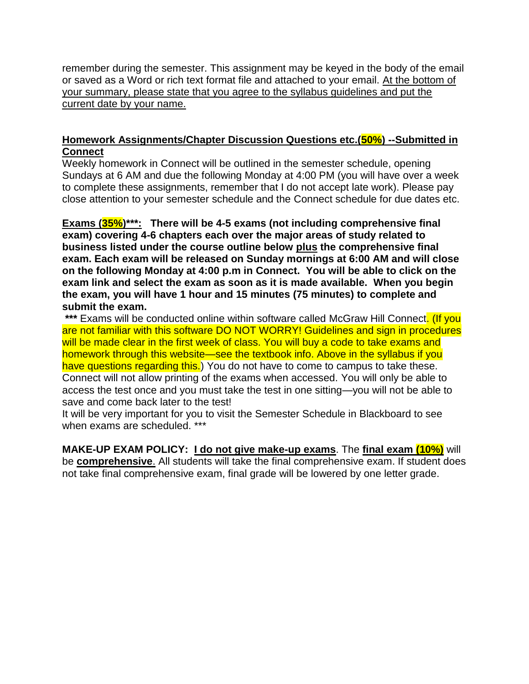remember during the semester. This assignment may be keyed in the body of the email or saved as a Word or rich text format file and attached to your email. At the bottom of your summary, please state that you agree to the syllabus guidelines and put the current date by your name.

### **Homework Assignments/Chapter Discussion Questions etc.(50%) --Submitted in Connect**

Weekly homework in Connect will be outlined in the semester schedule, opening Sundays at 6 AM and due the following Monday at 4:00 PM (you will have over a week to complete these assignments, remember that I do not accept late work). Please pay close attention to your semester schedule and the Connect schedule for due dates etc.

**Exams (35%)\*\*\*: There will be 4-5 exams (not including comprehensive final exam) covering 4-6 chapters each over the major areas of study related to business listed under the course outline below plus the comprehensive final exam. Each exam will be released on Sunday mornings at 6:00 AM and will close on the following Monday at 4:00 p.m in Connect. You will be able to click on the exam link and select the exam as soon as it is made available. When you begin the exam, you will have 1 hour and 15 minutes (75 minutes) to complete and submit the exam.**

\*\*\* Exams will be conducted online within software called McGraw Hill Connect. (If you are not familiar with this software DO NOT WORRY! Guidelines and sign in procedures will be made clear in the first week of class. You will buy a code to take exams and homework through this website—see the textbook info. Above in the syllabus if you have questions regarding this.) You do not have to come to campus to take these. Connect will not allow printing of the exams when accessed. You will only be able to access the test once and you must take the test in one sitting—you will not be able to save and come back later to the test!

It will be very important for you to visit the Semester Schedule in Blackboard to see when exams are scheduled. \*\*\*

**MAKE-UP EXAM POLICY: I do not give make-up exams**. The **final exam (10%)** will be **comprehensive**. All students will take the final comprehensive exam. If student does not take final comprehensive exam, final grade will be lowered by one letter grade.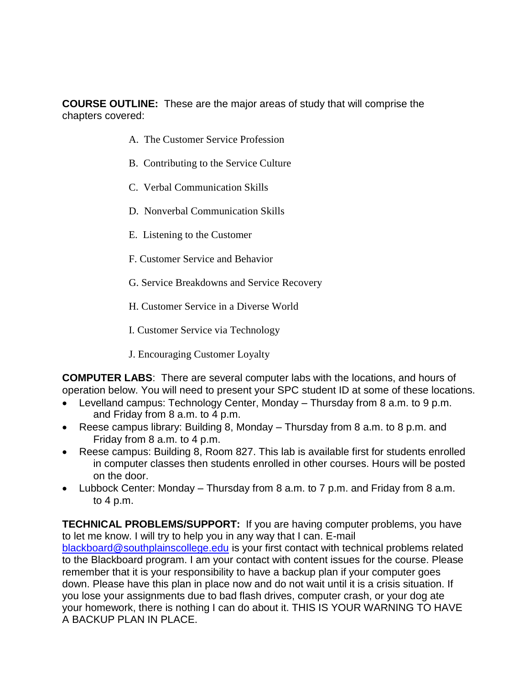**COURSE OUTLINE:** These are the major areas of study that will comprise the chapters covered:

- A. The Customer Service Profession
- B. Contributing to the Service Culture
- C. Verbal Communication Skills
- D. Nonverbal Communication Skills
- E. Listening to the Customer
- F. Customer Service and Behavior
- G. Service Breakdowns and Service Recovery
- H. Customer Service in a Diverse World
- I. Customer Service via Technology
- J. Encouraging Customer Loyalty

**COMPUTER LABS**: There are several computer labs with the locations, and hours of operation below. You will need to present your SPC student ID at some of these locations.

- Levelland campus: Technology Center, Monday Thursday from 8 a.m. to 9 p.m. and Friday from 8 a.m. to 4 p.m.
- Reese campus library: Building 8, Monday Thursday from 8 a.m. to 8 p.m. and Friday from 8 a.m. to 4 p.m.
- Reese campus: Building 8, Room 827. This lab is available first for students enrolled in computer classes then students enrolled in other courses. Hours will be posted on the door.
- Lubbock Center: Monday Thursday from 8 a.m. to 7 p.m. and Friday from 8 a.m. to 4 p.m.

**TECHNICAL PROBLEMS/SUPPORT:** If you are having computer problems, you have to let me know. I will try to help you in any way that I can. E-mail [blackboard@southplainscollege.edu](mailto:blackboard@southplainscollege.edu) is your first contact with technical problems related to the Blackboard program. I am your contact with content issues for the course. Please remember that it is your responsibility to have a backup plan if your computer goes down. Please have this plan in place now and do not wait until it is a crisis situation. If you lose your assignments due to bad flash drives, computer crash, or your dog ate your homework, there is nothing I can do about it. THIS IS YOUR WARNING TO HAVE A BACKUP PLAN IN PLACE.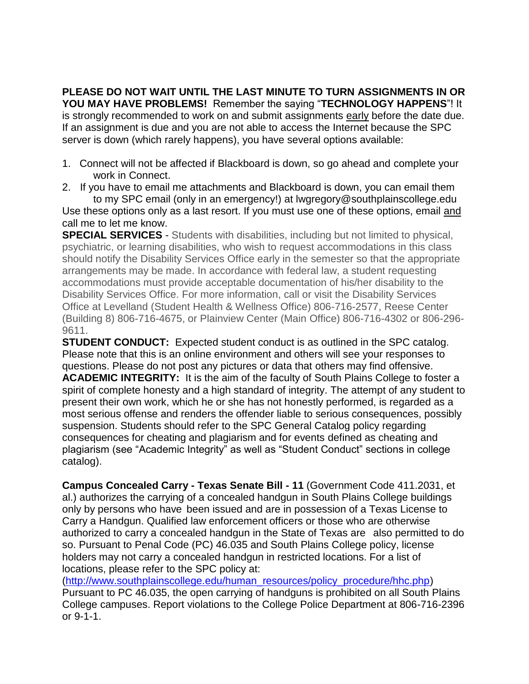**PLEASE DO NOT WAIT UNTIL THE LAST MINUTE TO TURN ASSIGNMENTS IN OR YOU MAY HAVE PROBLEMS!** Remember the saying "**TECHNOLOGY HAPPENS**"! It is strongly recommended to work on and submit assignments early before the date due. If an assignment is due and you are not able to access the Internet because the SPC server is down (which rarely happens), you have several options available:

- 1. Connect will not be affected if Blackboard is down, so go ahead and complete your work in Connect.
- 2. If you have to email me attachments and Blackboard is down, you can email them to my SPC email (only in an emergency!) at lwgregory@southplainscollege.edu

Use these options only as a last resort. If you must use one of these options, email and call me to let me know.

**SPECIAL SERVICES** - Students with disabilities, including but not limited to physical, psychiatric, or learning disabilities, who wish to request accommodations in this class should notify the Disability Services Office early in the semester so that the appropriate arrangements may be made. In accordance with federal law, a student requesting accommodations must provide acceptable documentation of his/her disability to the Disability Services Office. For more information, call or visit the Disability Services Office at Levelland (Student Health & Wellness Office) 806-716-2577, Reese Center (Building 8) 806-716-4675, or Plainview Center (Main Office) 806-716-4302 or 806-296- 9611.

**STUDENT CONDUCT:** Expected student conduct is as outlined in the SPC catalog. Please note that this is an online environment and others will see your responses to questions. Please do not post any pictures or data that others may find offensive. **ACADEMIC INTEGRITY:** It is the aim of the faculty of South Plains College to foster a spirit of complete honesty and a high standard of integrity. The attempt of any student to present their own work, which he or she has not honestly performed, is regarded as a most serious offense and renders the offender liable to serious consequences, possibly suspension. Students should refer to the SPC General Catalog policy regarding consequences for cheating and plagiarism and for events defined as cheating and plagiarism (see "Academic Integrity" as well as "Student Conduct" sections in college catalog).

**Campus Concealed Carry - Texas Senate Bill - 11** (Government Code 411.2031, et al.) authorizes the carrying of a concealed handgun in South Plains College buildings only by persons who have been issued and are in possession of a Texas License to Carry a Handgun. Qualified law enforcement officers or those who are otherwise authorized to carry a concealed handgun in the State of Texas are also permitted to do so. Pursuant to Penal Code (PC) 46.035 and South Plains College policy, license holders may not carry a concealed handgun in restricted locations. For a list of locations, please refer to the SPC policy at:

[\(http://www.southplainscollege.edu/human\\_resources/policy\\_procedure/hhc.php\)](http://www.southplainscollege.edu/human_resources/policy_procedure/hhc.php) Pursuant to PC 46.035, the open carrying of handguns is prohibited on all South Plains College campuses. Report violations to the College Police Department at 806-716-2396 or 9-1-1.